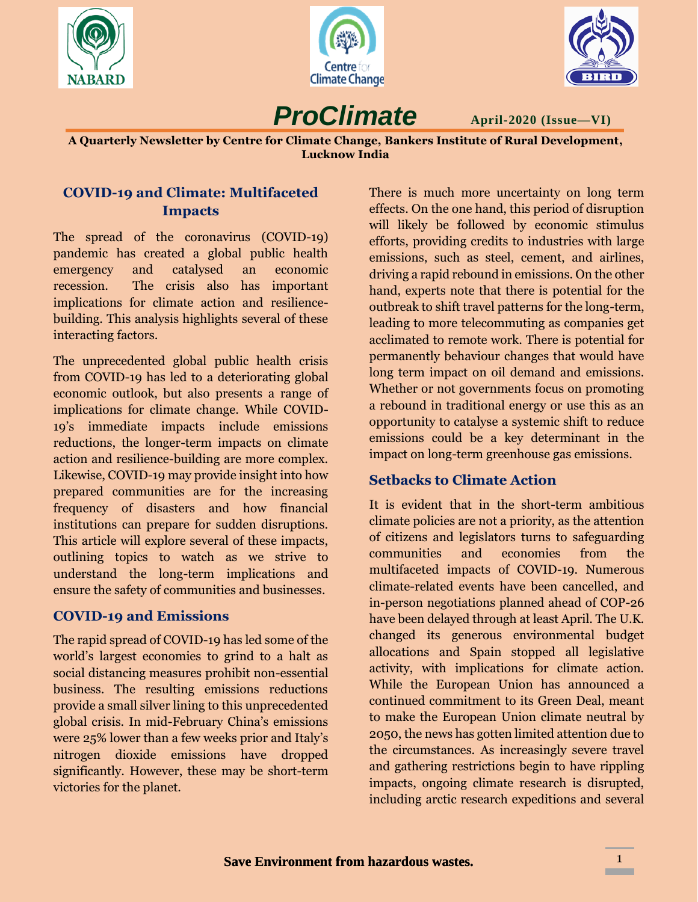





**April-2020 (Issue—VI)**

**A Quarterly Newsletter by Centre for Climate Change, Bankers Institute of Rural Development, Lucknow India**

*ProClimate*

### **COVID-19 and Climate: Multifaceted Impacts**

The spread of the coronavirus (COVID-19) pandemic has created a global public health emergency and catalysed an economic recession. The crisis also has important implications for climate action and resiliencebuilding. This analysis highlights several of these interacting factors.

The unprecedented global public health crisis from COVID-19 has led to a deteriorating global economic outlook, but also presents a range of implications for climate change. While COVID-19's immediate impacts include emissions reductions, the longer-term impacts on climate action and resilience-building are more complex. Likewise, COVID-19 may provide insight into how prepared communities are for the increasing frequency of disasters and how financial institutions can prepare for sudden disruptions. This article will explore several of these impacts, outlining topics to watch as we strive to understand the long-term implications and ensure the safety of communities and businesses.

## **COVID-19 and Emissions**

The rapid spread of COVID-19 has led some of the world's largest economies to grind to a halt as social distancing measures prohibit non-essential business. The resulting emissions reductions provide a small silver lining to this unprecedented global crisis. In mid-February China's emissions were 25% lower than a few weeks prior and Italy's nitrogen dioxide emissions have dropped significantly. However, these may be short-term victories for the planet.

There is much more uncertainty on long term effects. On the one hand, this period of disruption will likely be followed by economic stimulus efforts, providing credits to industries with large emissions, such as steel, cement, and airlines, driving a rapid rebound in emissions. On the other hand, experts note that there is potential for the outbreak to shift travel patterns for the long-term, leading to more telecommuting as companies get acclimated to remote work. There is potential for permanently behaviour changes that would have long term impact on oil demand and emissions. Whether or not governments focus on promoting a rebound in traditional energy or use this as an opportunity to catalyse a systemic shift to reduce emissions could be a key determinant in the impact on long-term greenhouse gas emissions.

## **Setbacks to Climate Action**

It is evident that in the short-term ambitious climate policies are not a priority, as the attention of citizens and legislators turns to safeguarding communities and economies from the multifaceted impacts of COVID-19. Numerous climate-related events have been cancelled, and in-person negotiations planned ahead of COP-26 have been delayed through at least April. The U.K. changed its generous environmental budget allocations and Spain stopped all legislative activity, with implications for climate action. While the European Union has announced a continued commitment to its Green Deal, meant to make the European Union climate neutral by 2050, the news has gotten limited attention due to the circumstances. As increasingly severe travel and gathering restrictions begin to have rippling impacts, ongoing climate research is disrupted, including arctic research expeditions and several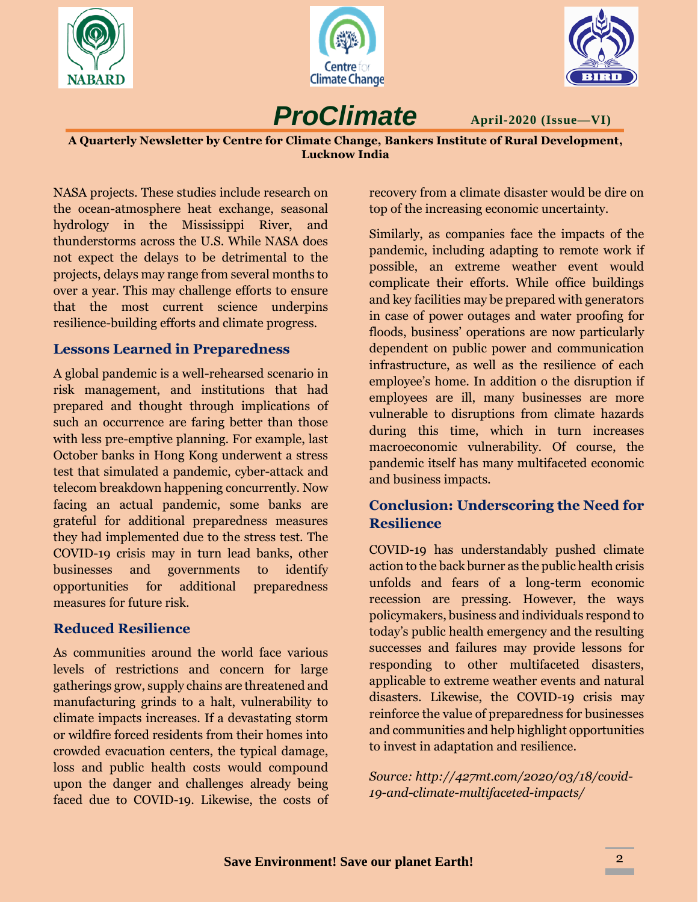





*ProClimate*

**April-2020 (Issue—VI)**

**A Quarterly Newsletter by Centre for Climate Change, Bankers Institute of Rural Development, Lucknow India**

NASA projects. These studies include research on the ocean-atmosphere heat exchange, seasonal hydrology in the Mississippi River, and thunderstorms across the U.S. While NASA does not expect the delays to be detrimental to the projects, delays may range from several months to over a year. This may challenge efforts to ensure that the most current science underpins resilience-building efforts and climate progress.

## **Lessons Learned in Preparedness**

A global pandemic is a well-rehearsed scenario in risk management, and institutions that had prepared and thought through implications of such an occurrence are faring better than those with less pre-emptive planning. For example, last October banks in Hong Kong underwent a stress test that simulated a pandemic, cyber-attack and telecom breakdown happening concurrently. Now facing an actual pandemic, some banks are grateful for additional preparedness measures they had implemented due to the stress test. The COVID-19 crisis may in turn lead banks, other businesses and governments to identify opportunities for additional preparedness measures for future risk.

### **Reduced Resilience**

As communities around the world face various levels of restrictions and concern for large gatherings grow, supply chains are threatened and manufacturing grinds to a halt, vulnerability to climate impacts increases. If a devastating storm or wildfire forced residents from their homes into crowded evacuation centers, the typical damage, loss and public health costs would compound upon the danger and challenges already being faced due to COVID-19. Likewise, the costs of recovery from a climate disaster would be dire on top of the increasing economic uncertainty.

Similarly, as companies face the impacts of the pandemic, including adapting to remote work if possible, an extreme weather event would complicate their efforts. While office buildings and key facilities may be prepared with generators in case of power outages and water proofing for floods, business' operations are now particularly dependent on public power and communication infrastructure, as well as the resilience of each employee's home. In addition o the disruption if employees are ill, many businesses are more vulnerable to disruptions from climate hazards during this time, which in turn increases macroeconomic vulnerability. Of course, the pandemic itself has many multifaceted economic and business impacts.

## **Conclusion: Underscoring the Need for Resilience**

COVID-19 has understandably pushed climate action to the back burner as the public health crisis unfolds and fears of a long-term economic recession are pressing. However, the ways policymakers, business and individuals respond to today's public health emergency and the resulting successes and failures may provide lessons for responding to other multifaceted disasters, applicable to extreme weather events and natural disasters. Likewise, the COVID-19 crisis may reinforce the value of preparedness for businesses and communities and help highlight opportunities to invest in adaptation and resilience.

*Source: http://427mt.com/2020/03/18/covid-19-and-climate-multifaceted-impacts/*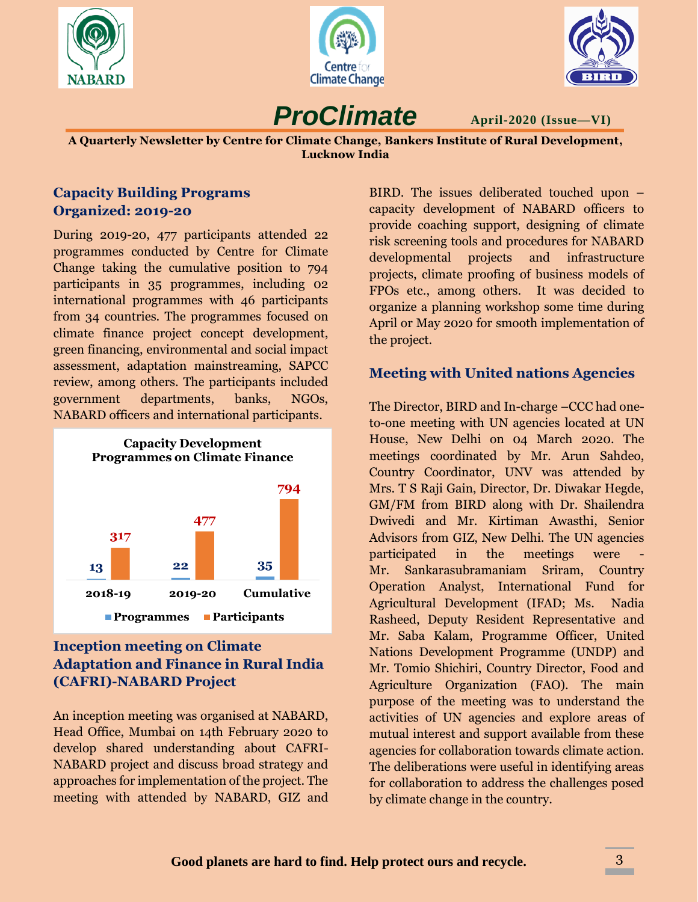





**April-2020 (Issue—VI)**

**A Quarterly Newsletter by Centre for Climate Change, Bankers Institute of Rural Development, Lucknow India**

*ProClimate*

#### **Capacity Building Programs Organized: 2019-20**

During 2019-20, 477 participants attended 22 programmes conducted by Centre for Climate Change taking the cumulative position to 794 participants in 35 programmes, including 02 international programmes with 46 participants from 34 countries. The programmes focused on climate finance project concept development, green financing, environmental and social impact assessment, adaptation mainstreaming, SAPCC review, among others. The participants included government departments, banks, NGOs, NABARD officers and international participants.



# **Inception meeting on Climate Adaptation and Finance in Rural India (CAFRI)-NABARD Project**

An inception meeting was organised at NABARD, Head Office, Mumbai on 14th February 2020 to develop shared understanding about CAFRI-NABARD project and discuss broad strategy and approaches for implementation of the project. The meeting with attended by NABARD, GIZ and

BIRD. The issues deliberated touched upon – capacity development of NABARD officers to provide coaching support, designing of climate risk screening tools and procedures for NABARD developmental projects and infrastructure projects, climate proofing of business models of FPOs etc., among others. It was decided to organize a planning workshop some time during April or May 2020 for smooth implementation of the project.

## **Meeting with United nations Agencies**

The Director, BIRD and In-charge –CCC had oneto-one meeting with UN agencies located at UN House, New Delhi on 04 March 2020. The meetings coordinated by Mr. Arun Sahdeo, Country Coordinator, UNV was attended by Mrs. T S Raji Gain, Director, Dr. Diwakar Hegde, GM/FM from BIRD along with Dr. Shailendra Dwivedi and Mr. Kirtiman Awasthi, Senior Advisors from GIZ, New Delhi. The UN agencies participated in the meetings were Mr. Sankarasubramaniam Sriram, Country Operation Analyst, International Fund for Agricultural Development (IFAD; Ms. Nadia Rasheed, Deputy Resident Representative and Mr. Saba Kalam, Programme Officer, United Nations Development Programme (UNDP) and Mr. Tomio Shichiri, Country Director, Food and Agriculture Organization (FAO). The main purpose of the meeting was to understand the activities of UN agencies and explore areas of mutual interest and support available from these agencies for collaboration towards climate action. The deliberations were useful in identifying areas for collaboration to address the challenges posed by climate change in the country.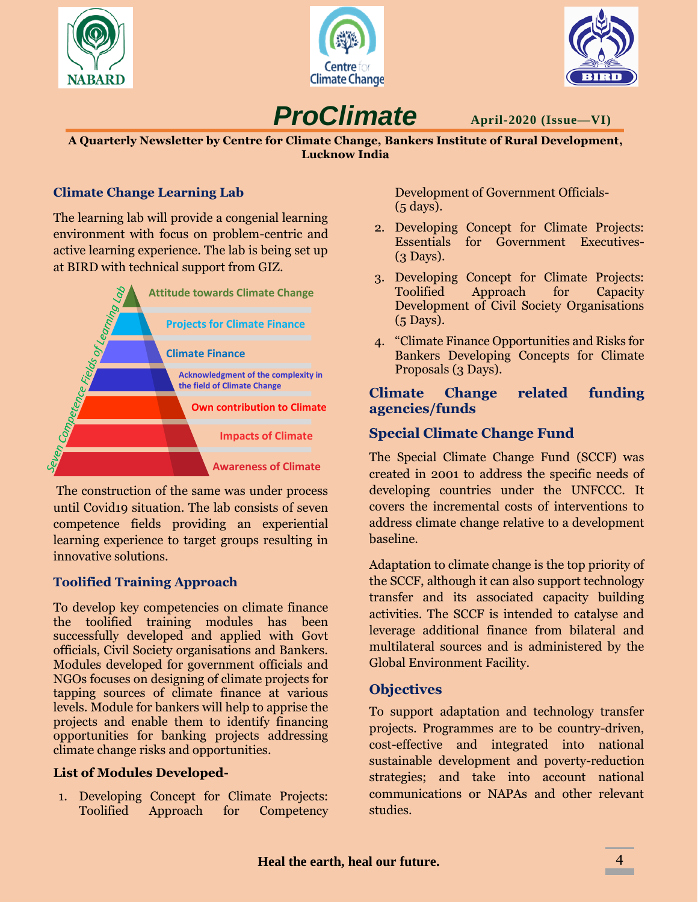





*ProClimate*

**April-2020 (Issue—VI)**

**A Quarterly Newsletter by Centre for Climate Change, Bankers Institute of Rural Development, Lucknow India**

### **Climate Change Learning Lab**

The learning lab will provide a congenial learning environment with focus on problem-centric and active learning experience. The lab is being set up at BIRD with technical support from GIZ.



The construction of the same was under process until Covid19 situation. The lab consists of seven competence fields providing an experiential learning experience to target groups resulting in innovative solutions.

### **Toolified Training Approach**

To develop key competencies on climate finance the toolified training modules has been successfully developed and applied with Govt officials, Civil Society organisations and Bankers. Modules developed for government officials and NGOs focuses on designing of climate projects for tapping sources of climate finance at various levels. Module for bankers will help to apprise the projects and enable them to identify financing opportunities for banking projects addressing climate change risks and opportunities.

#### **List of Modules Developed-**

1. Developing Concept for Climate Projects: Toolified Approach for Competency Development of Government Officials- (5 days).

- 2. Developing Concept for Climate Projects: Essentials for Government Executives- (3 Days).
- 3. Developing Concept for Climate Projects: Toolified Approach for Capacity Development of Civil Society Organisations (5 Days).
- 4. "Climate Finance Opportunities and Risks for Bankers Developing Concepts for Climate Proposals (3 Days).

#### **Climate Change related funding agencies/funds**

### **Special Climate Change Fund**

The Special Climate Change Fund (SCCF) was created in 2001 to address the specific needs of developing countries under the UNFCCC. It covers the incremental costs of interventions to address climate change relative to a development baseline.

Adaptation to climate change is the top priority of the SCCF, although it can also support technology transfer and its associated capacity building activities. The SCCF is intended to catalyse and leverage additional finance from bilateral and multilateral sources and is administered by the Global Environment Facility.

### **Objectives**

To support adaptation and technology transfer projects. Programmes are to be country-driven, cost-effective and integrated into national sustainable development and poverty-reduction strategies; and take into account national communications or NAPAs and other relevant studies.